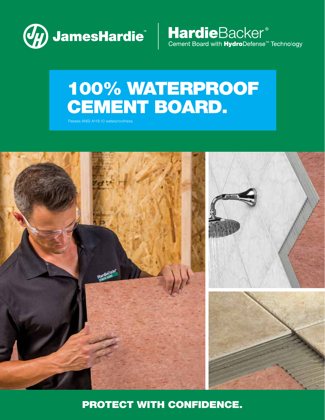

HardieBacker<sup>®</sup><br>Cement Board with HydroDefense<sup>™</sup> Technology

# 100% WATERPROOF CEMENT BOARD.

Passes ANSI A118.10 waterproofness.



PROTECT WITH CONFIDENCE.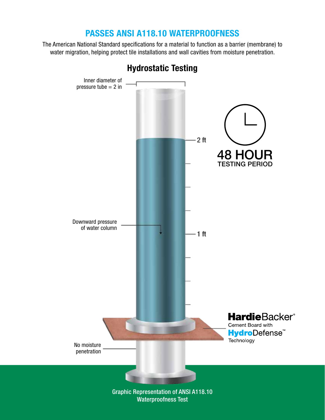#### PASSES ANSI A118.10 WATERPROOFNESS

The American National Standard specifications for a material to function as a barrier (membrane) to water migration, helping protect tile installations and wall cavities from moisture penetration.



Hydrostatic Testing

Waterproofness Test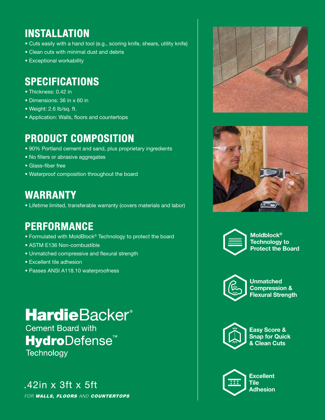### **INSTALLATION**

- Cuts easily with a hand tool (e.g., scoring knife, shears, utility knife)
- Clean cuts with minimal dust and debris
- Exceptional workability

#### SPECIFICATIONS

- Thickness: 0.42 in
- Dimensions: 36 in x 60 in
- Weight: 2.6 lb/sq. ft.
- Application: Walls, floors and countertops

#### PRODUCT COMPOSITION

- 90% Portland cement and sand, plus proprietary ingredients
- No fillers or abrasive aggregates
- Glass-fiber free
- Waterproof composition throughout the board

#### WARRANTY

• Lifetime limited, transferable warranty (covers materials and labor)

#### PERFORMANCE

- Formulated with MoldBlock® Technology to protect the board
- ASTM E136 Non-combustible
- Unmatched compressive and flexural strength
- Excellent tile adhesion
- Passes ANSI A118.10 waterproofness

## **HardieBacker®**

**Cement Board with**  $A$  $A$ **Protect the Board St Technology** 

#### $.42$ in x 3ft x 5ft Flexure

FOR WALLS, FLOORS AND COUNTERTOPS







Moldblock® Technology to Protect the Board



Unmatched Compression & Flexural Strength



Easy Score & Snap for Quick & Clean Cuts